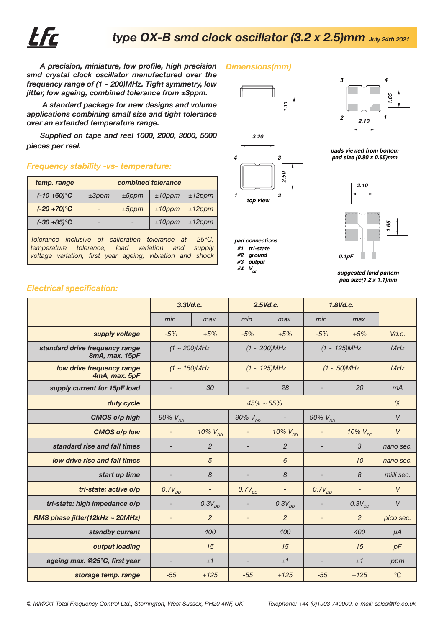

## **OX smd oscillator case 3.2 x 2.5 original drawn x6** *type OX-B smd clock oscillator (3.2 x 2.5)mm July 24th 2021*

*Dimensions(mm)*

*A precision, miniature, low profile, high precision smd crystal clock oscillator manufactured over the frequency range of (1 ~ 200)MHz. Tight symmetry, low jitter, low ageing, combined tolerance from ±3ppm.*

 *A standard package for new designs and volume applications combining small size and tight tolerance over an extended temperature range.*

*Supplied on tape and reel 1000, 2000, 3000, 5000 pieces per reel.*

## *Frequency stability -vs- temperature:*

| temp. range                                                                                                                                                                          | combined tolerance |          |           |           |  |  |
|--------------------------------------------------------------------------------------------------------------------------------------------------------------------------------------|--------------------|----------|-----------|-----------|--|--|
| $(-10 + 60)$ °C                                                                                                                                                                      | ±3 ppm             | $±5$ ppm | $±10$ ppm | $±12$ ppm |  |  |
| $(-20 + 70)$ °C                                                                                                                                                                      |                    | $±5$ ppm | $±10$ ppm | $±12$ ppm |  |  |
| $(-30 + 85)$ °C                                                                                                                                                                      |                    |          | $±10$ ppm | $±12$ ppm |  |  |
| Tolerance inclusive of calibration tolerance at $+25^{\circ}$ C,<br>temperature tolerance, load variation and<br>supply<br>voltage variation, first year ageing, vibration and shock |                    |          |           |           |  |  |





- **#3 output**
- #4  $V_{dd}$



**pads viewed from bottom pad size (0.90 x 0.65)mm**



**suggested land pattern pad size(1.2 x 1.1)mm**

## *Electrical specification:*

|                                                  | 3.3Vd.c.                 |                          | $2.5$ Vd.c.              |                   | 1.8Vd.c.                 |                          |                 |
|--------------------------------------------------|--------------------------|--------------------------|--------------------------|-------------------|--------------------------|--------------------------|-----------------|
|                                                  | min.                     | max.                     | min.                     | max.              | min.                     | max.                     |                 |
| supply voltage                                   | $-5%$                    | $+5%$                    | $-5%$                    | $+5%$             | $-5%$                    | $+5%$                    | Vd.c.           |
| standard drive frequency range<br>8mA, max. 15pF | $(1 - 200)$ MHz          |                          | $(1 - 200)$ MHz          |                   | $(1 - 125)$ MHz          |                          | MHz             |
| low drive frequency range<br>4mA, max. 5pF       | $(1 - 150)$ MHz          |                          | $(1 - 125)$ MHz          |                   | $(1 - 50)$ MHz           |                          | MHz             |
| supply current for 15pF load                     |                          | 30                       |                          | 28                |                          | 20                       | mA              |
| duty cycle                                       | $45\% \sim 55\%$         |                          |                          |                   |                          | $\%$                     |                 |
| <b>CMOS o/p high</b>                             | 90% $V_{DD}$             |                          | 90% $V_{DD}$             |                   | 90% $V_{DD}$             |                          | V               |
| <b>CMOS o/p low</b>                              |                          | $10\%$ $V_{DD}$          |                          | 10% $V_{DD}$      | $\overline{\phantom{a}}$ | $10\%$ $V_{DD}$          | $\vee$          |
| standard rise and fall times                     |                          | $\overline{2}$           |                          | $\overline{2}$    |                          | 3                        | nano sec.       |
| low drive rise and fall times                    |                          | 5                        |                          | 6                 |                          | 10                       | nano sec.       |
| start up time                                    |                          | 8                        |                          | 8                 |                          | 8                        | milli sec.      |
| tri-state: active o/p                            | $0.7V_{DD}$              | $\overline{\phantom{a}}$ | $0.7V_{DD}$              | $\qquad \qquad -$ | $0.7V_{DD}$              | $\overline{\phantom{0}}$ | $\vee$          |
| tri-state: high impedance o/p                    | $\overline{\phantom{a}}$ | $0.3V_{DD}$              | $\overline{\phantom{a}}$ | $0.3V_{DD}$       |                          | $0.3V_{DD}$              | $\vee$          |
| RMS phase jitter(12kHz ~ 20MHz)                  |                          | $\overline{2}$           | $\overline{\phantom{0}}$ | $\overline{2}$    | $\overline{\phantom{a}}$ | $\overline{2}$           | pico sec.       |
| standby current                                  |                          | 400                      |                          | 400               |                          | 400                      | $\mu A$         |
| output loading                                   |                          | 15                       |                          | 15                |                          | 15                       | pF              |
| ageing max. @25°C, first year                    |                          | ±1                       |                          | ±1                |                          | ±1                       | ppm             |
| storage temp. range                              | $-55$                    | $+125$                   | $-55$                    | $+125$            | $-55$                    | $+125$                   | $\rm ^{\circ}C$ |